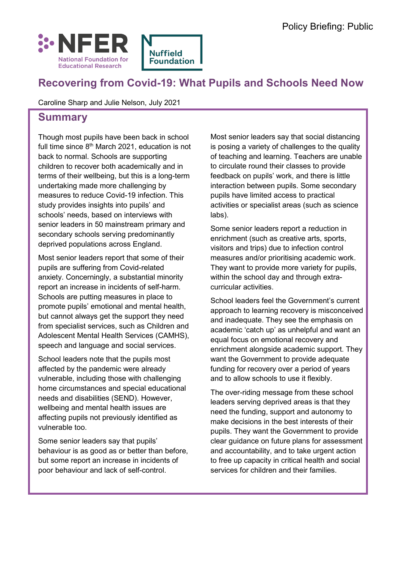

# **Recovering from [Covid-19: What P](https://www.nuffieldfoundation.org/)upils and Schools Need Now**

Caroline Sharp and Julie Nelson, July 2021

### **Summary**

Though most pupils have been back in school full time since  $8<sup>th</sup>$  March 2021, education is not back to normal. Schools are supporting children to recover both academically and in terms of their wellbeing, but this is a long-term undertaking made more challenging by measures to reduce Covid-19 infection. This study provides insights into pupils' and schools' needs, based on interviews with senior leaders in 50 mainstream primary and secondary schools serving predominantly deprived populations across England.

Most senior leaders report that some of their pupils are suffering from Covid-related anxiety. Concerningly, a substantial minority report an increase in incidents of self-harm. Schools are putting measures in place to promote pupils' emotional and mental health, but cannot always get the support they need from specialist services, such as Children and Adolescent Mental Health Services (CAMHS), speech and language and social services.

School leaders note that the pupils most affected by the pandemic were already vulnerable, including those with challenging home circumstances and special educational needs and disabilities (SEND). However, wellbeing and mental health issues are affecting pupils not previously identified as vulnerable too.

Some senior leaders say that pupils' behaviour is as good as or better than before, but some report an increase in incidents of poor behaviour and lack of self-control.

Most senior leaders say that social distancing is posing a variety of challenges to the quality of teaching and learning. Teachers are unable to circulate round their classes to provide feedback on pupils' work, and there is little interaction between pupils. Some secondary pupils have limited access to practical activities or specialist areas (such as science labs).

Some senior leaders report a reduction in enrichment (such as creative arts, sports, visitors and trips) due to infection control measures and/or prioritising academic work. They want to provide more variety for pupils, within the school day and through extracurricular activities.

School leaders feel the Government's current approach to learning recovery is misconceived and inadequate. They see the emphasis on academic 'catch up' as unhelpful and want an equal focus on emotional recovery and enrichment alongside academic support. They want the Government to provide adequate funding for recovery over a period of years and to allow schools to use it flexibly.

The over-riding message from these school leaders serving deprived areas is that they need the funding, support and autonomy to make decisions in the best interests of their pupils. They want the Government to provide clear guidance on future plans for assessment and accountability, and to take urgent action to free up capacity in critical health and social services for children and their families.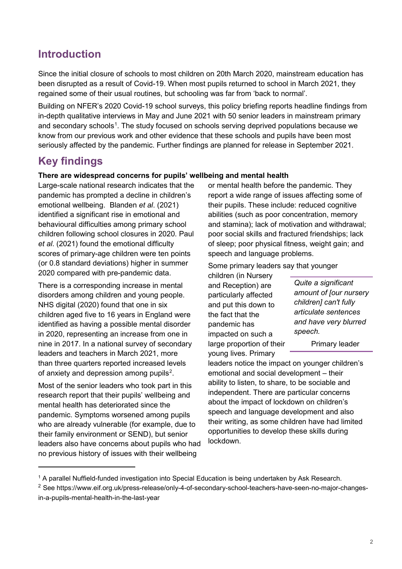### **Introduction**

Since the initial closure of schools to most children on 20th March 2020, mainstream education has been disrupted as a result of Covid-19. When most pupils returned to school in March 2021, they regained some of their usual routines, but schooling was far from 'back to normal'.

Building on NFER's 2020 [Covid-19 school surveys,](https://www.nfer.ac.uk/news-events/nfer-spotlight/schools-responses-to-covid-19/) this policy briefing reports headline findings from in-depth qualitative interviews in May and June 2021 with 50 senior leaders in mainstream primary and secondary schools<sup>[1](#page-1-0)</sup>. The study focused on schools serving deprived populations because we know from our previous work and other evidence that these schools and pupils have been most seriously affected by the pandemic. Further findings are planned for release in September 2021.

## **Key findings**

#### **There are widespread concerns for pupils' wellbeing and mental health**

Large-scale national research indicates that the pandemic has prompted a decline in children's emotional wellbeing. Blanden *et al*. (2021) identified a significant rise in emotional and behavioural difficulties among primary school children following school closures in 2020. Paul *et al*. (2021) found the emotional difficulty scores of primary-age children were ten points (or 0.8 standard deviations) higher in summer 2020 compared with pre-pandemic data.

There is a corresponding increase in mental disorders among children and young people. NHS digital (2020) found that one in six children aged five to 16 years in England were identified as having a possible mental disorder in 2020, representing an increase from one in nine in 2017. In a national survey of secondary leaders and teachers in March 2021, more than three quarters reported increased levels of anxiety and depression among pupils<sup>[2](#page-1-1)</sup>.

Most of the senior leaders who took part in this research report that their pupils' wellbeing and mental health has deteriorated since the pandemic. Symptoms worsened among pupils who are already vulnerable (for example, due to their family environment or SEND), but senior leaders also have concerns about pupils who had no previous history of issues with their wellbeing

-

or mental health before the pandemic. They report a wide range of issues affecting some of their pupils. These include: reduced cognitive abilities (such as poor concentration, memory and stamina); lack of motivation and withdrawal; poor social skills and fractured friendships; lack of sleep; poor physical fitness, weight gain; and speech and language problems.

Some primary leaders say that younger

children (in Nursery and Reception) are particularly affected and put this down to the fact that the pandemic has impacted on such a large proportion of their young lives. Primary

*Quite a significant amount of [our nursery children] can't fully articulate sentences and have very blurred speech.*

Primary leader

leaders notice the impact on younger children's emotional and social development – their ability to listen, to share, to be sociable and independent. There are particular concerns about the impact of lockdown on children's speech and language development and also their writing, as some children have had limited opportunities to develop these skills during lockdown.

<span id="page-1-0"></span><sup>1</sup> A parallel Nuffield-funded investigation into Special Education is being undertaken by Ask Research.

<span id="page-1-1"></span><sup>&</sup>lt;sup>2</sup> See [https://www.eif.org.uk/press-release/only-4-of-secondary-school-teachers-have-seen-no-major-changes](https://www.eif.org.uk/press-release/only-4-of-secondary-school-teachers-have-seen-no-major-changes-in-a-pupils-mental-health-in-the-last-year)[in-a-pupils-mental-health-in-the-last-year](https://www.eif.org.uk/press-release/only-4-of-secondary-school-teachers-have-seen-no-major-changes-in-a-pupils-mental-health-in-the-last-year)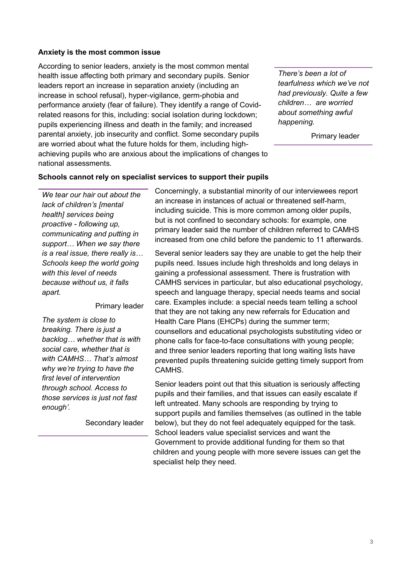#### **Anxiety is the most common issue**

According to senior leaders, anxiety is the most common mental health issue affecting both primary and secondary pupils. Senior leaders report an increase in separation anxiety (including an increase in school refusal), hyper-vigilance, germ-phobia and performance anxiety (fear of failure). They identify a range of Covidrelated reasons for this, including: social isolation during lockdown; pupils experiencing illness and death in the family; and increased parental anxiety, job insecurity and conflict. Some secondary pupils are worried about what the future holds for them, including highachieving pupils who are anxious about the implications of changes to national assessments.

*There's been a lot of tearfulness which we've not had previously. Quite a few children… are worried about something awful happening.*

Primary leader

#### **Schools cannot rely on specialist services to support their pupils**

*We tear our hair out about the lack of children's [mental health] services being proactive - following up, communicating and putting in support… When we say there is a real issue, there really is… Schools keep the world going with this level of needs because without us, it falls apart.*

#### Primary leader

*The system is close to breaking. There is just a backlog… whether that is with social care, whether that is with CAMHS… That's almost why we're trying to have the first level of intervention through school. Access to those services is just not fast enough'.* 

Secondary leader

Concerningly, a substantial minority of our interviewees report an increase in instances of actual or threatened self-harm, including suicide. This is more common among older pupils, but is not confined to secondary schools: for example, one primary leader said the number of children referred to CAMHS increased from one child before the pandemic to 11 afterwards.

Several senior leaders say they are unable to get the help their pupils need. Issues include high thresholds and long delays in gaining a professional assessment. There is frustration with CAMHS services in particular, but also educational psychology, speech and language therapy, special needs teams and social care. Examples include: a special needs team telling a school that they are not taking any new referrals for Education and Health Care Plans (EHCPs) during the summer term; counsellors and educational psychologists substituting video or phone calls for face-to-face consultations with young people; and three senior leaders reporting that long waiting lists have prevented pupils threatening suicide getting timely support from CAMHS.

Senior leaders point out that this situation is seriously affecting pupils and their families, and that issues can easily escalate if left untreated. Many schools are responding by trying to support pupils and families themselves (as outlined in the table below), but they do not feel adequately equipped for the task. School leaders value specialist services and want the Government to provide additional funding for them so that children and young people with more severe issues can get the specialist help they need.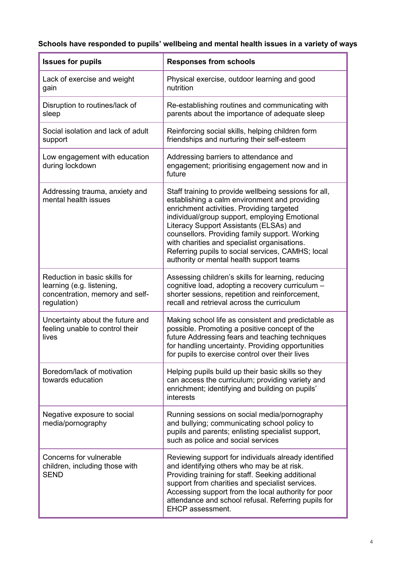## **Schools have responded to pupils' wellbeing and mental health issues in a variety of ways**

| <b>Issues for pupils</b>                                                                                     | <b>Responses from schools</b>                                                                                                                                                                                                                                                                                                                                                                                                                      |
|--------------------------------------------------------------------------------------------------------------|----------------------------------------------------------------------------------------------------------------------------------------------------------------------------------------------------------------------------------------------------------------------------------------------------------------------------------------------------------------------------------------------------------------------------------------------------|
| Lack of exercise and weight<br>gain                                                                          | Physical exercise, outdoor learning and good<br>nutrition                                                                                                                                                                                                                                                                                                                                                                                          |
| Disruption to routines/lack of<br>sleep                                                                      | Re-establishing routines and communicating with<br>parents about the importance of adequate sleep                                                                                                                                                                                                                                                                                                                                                  |
| Social isolation and lack of adult<br>support                                                                | Reinforcing social skills, helping children form<br>friendships and nurturing their self-esteem                                                                                                                                                                                                                                                                                                                                                    |
| Low engagement with education<br>during lockdown                                                             | Addressing barriers to attendance and<br>engagement; prioritising engagement now and in<br>future                                                                                                                                                                                                                                                                                                                                                  |
| Addressing trauma, anxiety and<br>mental health issues                                                       | Staff training to provide wellbeing sessions for all,<br>establishing a calm environment and providing<br>enrichment activities. Providing targeted<br>individual/group support, employing Emotional<br>Literacy Support Assistants (ELSAs) and<br>counsellors. Providing family support. Working<br>with charities and specialist organisations.<br>Referring pupils to social services, CAMHS; local<br>authority or mental health support teams |
| Reduction in basic skills for<br>learning (e.g. listening,<br>concentration, memory and self-<br>regulation) | Assessing children's skills for learning, reducing<br>cognitive load, adopting a recovery curriculum -<br>shorter sessions, repetition and reinforcement,<br>recall and retrieval across the curriculum                                                                                                                                                                                                                                            |
| Uncertainty about the future and<br>feeling unable to control their<br>lives                                 | Making school life as consistent and predictable as<br>possible. Promoting a positive concept of the<br>future Addressing fears and teaching techniques<br>for handling uncertainty. Providing opportunities<br>for pupils to exercise control over their lives                                                                                                                                                                                    |
| Boredom/lack of motivation<br>towards education                                                              | Helping pupils build up their basic skills so they<br>can access the curriculum; providing variety and<br>enrichment; identifying and building on pupils'<br>interests                                                                                                                                                                                                                                                                             |
| Negative exposure to social<br>media/pornography                                                             | Running sessions on social media/pornography<br>and bullying; communicating school policy to<br>pupils and parents; enlisting specialist support,<br>such as police and social services                                                                                                                                                                                                                                                            |
| Concerns for vulnerable<br>children, including those with<br><b>SEND</b>                                     | Reviewing support for individuals already identified<br>and identifying others who may be at risk.<br>Providing training for staff. Seeking additional<br>support from charities and specialist services.<br>Accessing support from the local authority for poor<br>attendance and school refusal. Referring pupils for<br><b>EHCP</b> assessment.                                                                                                 |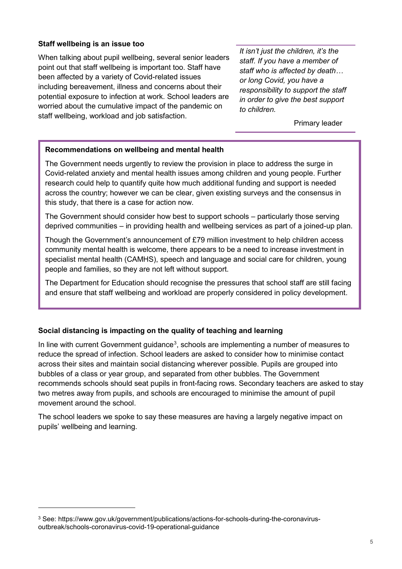#### **Staff wellbeing is an issue too**

When talking about pupil wellbeing, several senior leaders point out that staff wellbeing is important too. Staff have been affected by a variety of Covid-related issues including bereavement, illness and concerns about their potential exposure to infection at work. School leaders are worried about the cumulative impact of the pandemic on staff wellbeing, workload and job satisfaction.

*It isn't just the children, it's the staff. If you have a member of staff who is affected by death… or long Covid, you have a responsibility to support the staff in order to give the best support to children.*

Primary leader

#### **Recommendations on wellbeing and mental health**

The Government needs urgently to review the provision in place to address the surge in Covid-related anxiety and mental health issues among children and young people. Further research could help to quantify quite how much additional funding and support is needed across the country; however we can be clear, given existing surveys and the consensus in this study, that there is a case for action now.

The Government should consider how best to support schools – particularly those serving deprived communities – in providing health and wellbeing services as part of a joined-up plan.

Though the Government's announcement of £79 million investment to help children access community mental health is welcome, there appears to be a need to increase investment in specialist mental health (CAMHS), speech and language and social care for children, young people and families, so they are not left without support.

The Department for Education should recognise the pressures that school staff are still facing and ensure that staff wellbeing and workload are properly considered in policy development.

#### **Social distancing is impacting on the quality of teaching and learning**

In line with current Government guidance $^3$  $^3$ , schools are implementing a number of measures to reduce the spread of infection. School leaders are asked to consider how to minimise contact across their sites and maintain social distancing wherever possible. Pupils are grouped into bubbles of a class or year group, and separated from other bubbles. The Government recommends schools should seat pupils in front-facing rows. Secondary teachers are asked to stay two metres away from pupils, and schools are encouraged to minimise the amount of pupil movement around the school.

The school leaders we spoke to say these measures are having a largely negative impact on pupils' wellbeing and learning.

-

<span id="page-4-0"></span><sup>&</sup>lt;sup>3</sup> See: https://www.gov.uk/government/publications/actions-for-schools-during-the-coronavirusoutbreak/schools-coronavirus-covid-19-operational-guidance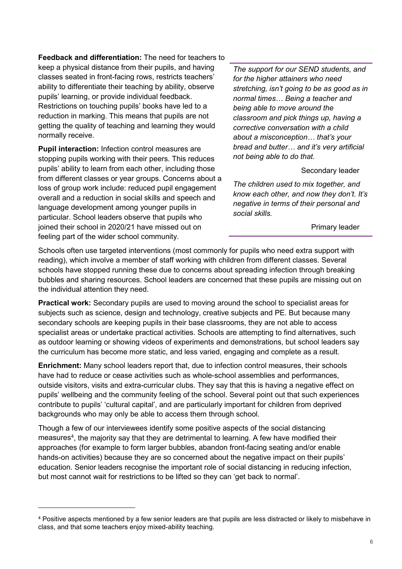**Feedback and differentiation:** The need for teachers to keep a physical distance from their pupils, and having classes seated in front-facing rows, restricts teachers' ability to differentiate their teaching by ability, observe pupils' learning, or provide individual feedback. Restrictions on touching pupils' books have led to a reduction in marking. This means that pupils are not getting the quality of teaching and learning they would normally receive.

**Pupil interaction:** Infection control measures are stopping pupils working with their peers. This reduces pupils' ability to learn from each other, including those from different classes or year groups. Concerns about a loss of group work include: reduced pupil engagement overall and a reduction in social skills and speech and language development among younger pupils in particular. School leaders observe that pupils who joined their school in 2020/21 have missed out on feeling part of the wider school community.

-

*The support for our SEND students, and for the higher attainers who need stretching, isn't going to be as good as in normal times… Being a teacher and being able to move around the classroom and pick things up, having a corrective conversation with a child about a misconception… that's your bread and butter… and it's very artificial not being able to do that.*

#### Secondary leader

*The children used to mix together, and know each other, and now they don't. It's negative in terms of their personal and social skills.*

Primary leader

Schools often use targeted interventions (most commonly for pupils who need extra support with reading), which involve a member of staff working with children from different classes. Several schools have stopped running these due to concerns about spreading infection through breaking bubbles and sharing resources. School leaders are concerned that these pupils are missing out on the individual attention they need.

**Practical work:** Secondary pupils are used to moving around the school to specialist areas for subjects such as science, design and technology, creative subjects and PE. But because many secondary schools are keeping pupils in their base classrooms, they are not able to access specialist areas or undertake practical activities. Schools are attempting to find alternatives, such as outdoor learning or showing videos of experiments and demonstrations, but school leaders say the curriculum has become more static, and less varied, engaging and complete as a result.

**Enrichment:** Many school leaders report that, due to infection control measures, their schools have had to reduce or cease activities such as whole-school assemblies and performances, outside visitors, visits and extra-curricular clubs. They say that this is having a negative effect on pupils' wellbeing and the community feeling of the school. Several point out that such experiences contribute to pupils' 'cultural capital', and are particularly important for children from deprived backgrounds who may only be able to access them through school.

Though a few of our interviewees identify some positive aspects of the social distancing measures<sup>4</sup>, the majority say that they are detrimental to learning. A few have modified their approaches (for example to form larger bubbles, abandon front-facing seating and/or enable hands-on activities) because they are so concerned about the negative impact on their pupils' education. Senior leaders recognise the important role of social distancing in reducing infection, but most cannot wait for restrictions to be lifted so they can 'get back to normal'.

<span id="page-5-0"></span><sup>4</sup> Positive aspects mentioned by a few senior leaders are that pupils are less distracted or likely to misbehave in class, and that some teachers enjoy mixed-ability teaching.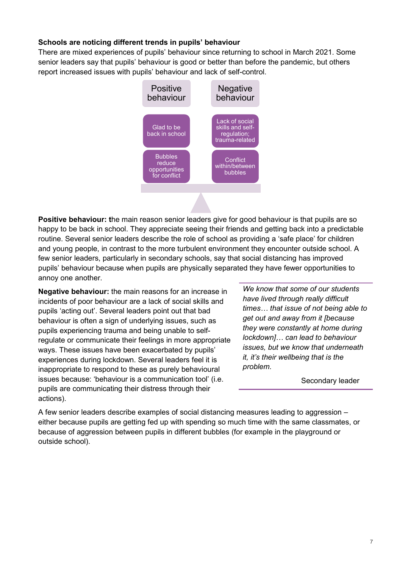#### **Schools are noticing different trends in pupils' behaviour**

There are mixed experiences of pupils' behaviour since returning to school in March 2021. Some senior leaders say that pupils' behaviour is good or better than before the pandemic, but others report increased issues with pupils' behaviour and lack of self-control.



**Positive behaviour: t**he main reason senior leaders give for good behaviour is that pupils are so happy to be back in school. They appreciate seeing their friends and getting back into a predictable routine. Several senior leaders describe the role of school as providing a 'safe place' for children and young people, in contrast to the more turbulent environment they encounter outside school. A few senior leaders, particularly in secondary schools, say that social distancing has improved pupils' behaviour because when pupils are physically separated they have fewer opportunities to annoy one another.

**Negative behaviour:** the main reasons for an increase in incidents of poor behaviour are a lack of social skills and pupils 'acting out'. Several leaders point out that bad behaviour is often a sign of underlying issues, such as pupils experiencing trauma and being unable to selfregulate or communicate their feelings in more appropriate ways. These issues have been exacerbated by pupils' experiences during lockdown. Several leaders feel it is inappropriate to respond to these as purely behavioural issues because: 'behaviour is a communication tool' (i.e. pupils are communicating their distress through their actions).

*We know that some of our students have lived through really difficult times… that issue of not being able to get out and away from it [because they were constantly at home during lockdown]… can lead to behaviour issues, but we know that underneath it, it's their wellbeing that is the problem.*

Secondary leader

A few senior leaders describe examples of social distancing measures leading to aggression – either because pupils are getting fed up with spending so much time with the same classmates, or because of aggression between pupils in different bubbles (for example in the playground or outside school).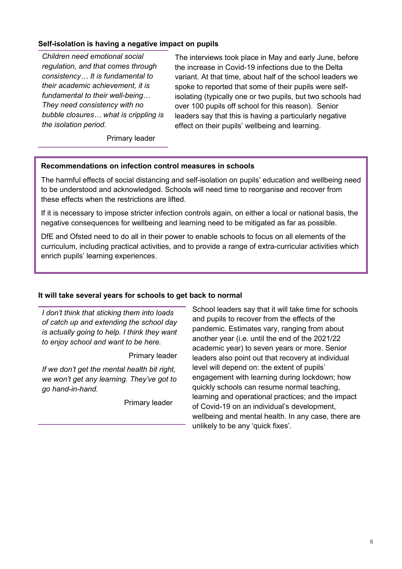#### **Self-isolation is having a negative impact on pupils**

*Children need emotional social regulation, and that comes through consistency… It is fundamental to their academic achievement, it is fundamental to their well-being… They need consistency with no bubble closures… what is crippling is the isolation period.*

The interviews took place in May and early June, before the increase in Covid-19 infections due to the Delta variant. At that time, about half of the school leaders we spoke to reported that some of their pupils were selfisolating (typically one or two pupils, but two schools had over 100 pupils off school for this reason). Senior leaders say that this is having a particularly negative effect on their pupils' wellbeing and learning.

Primary leader

#### **Recommendations on infection control measures in schools**

The harmful effects of social distancing and self-isolation on pupils' education and wellbeing need to be understood and acknowledged. Schools will need time to reorganise and recover from these effects when the restrictions are lifted.

If it is necessary to impose stricter infection controls again, on either a local or national basis, the negative consequences for wellbeing and learning need to be mitigated as far as possible.

DfE and Ofsted need to do all in their power to enable schools to focus on all elements of the curriculum, including practical activities, and to provide a range of extra-curricular activities which enrich pupils' learning experiences.

#### **It will take several years for schools to get back to normal**

*I don't think that sticking them into loads of catch up and extending the school day is actually going to help. I think they want to enjoy school and want to be here.*

Primary leader

*If we don't get the mental health bit right, we won't get any learning. They've got to go hand-in-hand.*

Primary leader

School leaders say that it will take time for schools and pupils to recover from the effects of the pandemic. Estimates vary, ranging from about another year (i.e. until the end of the 2021/22 academic year) to seven years or more. Senior leaders also point out that recovery at individual level will depend on: the extent of pupils' engagement with learning during lockdown; how quickly schools can resume normal teaching, learning and operational practices; and the impact of Covid-19 on an individual's development, wellbeing and mental health. In any case, there are unlikely to be any 'quick fixes'.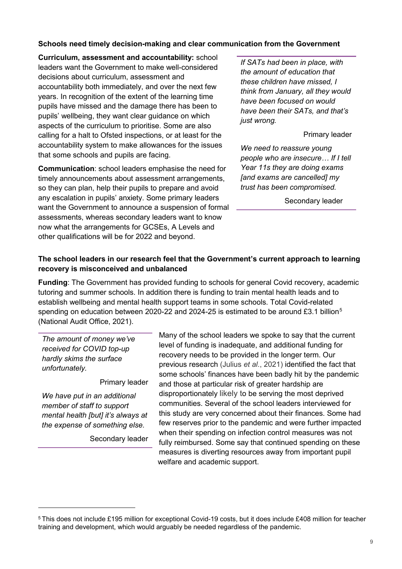#### **Schools need timely decision-making and clear communication from the Government**

**Curriculum, assessment and accountability:** school leaders want the Government to make well-considered decisions about curriculum, assessment and accountability both immediately, and over the next few years. In recognition of the extent of the learning time pupils have missed and the damage there has been to pupils' wellbeing, they want clear guidance on which aspects of the curriculum to prioritise. Some are also calling for a halt to Ofsted inspections, or at least for the accountability system to make allowances for the issues that some schools and pupils are facing.

**Communication**: school leaders emphasise the need for timely announcements about assessment arrangements, so they can plan, help their pupils to prepare and avoid any escalation in pupils' anxiety. Some primary leaders want the Government to announce a suspension of formal assessments, whereas secondary leaders want to know now what the arrangements for GCSEs, A Levels and other qualifications will be for 2022 and beyond.

*If SATs had been in place, with the amount of education that these children have missed, I think from January, all they would have been focused on would have been their SATs, and that's just wrong.*

#### Primary leader

*We need to reassure young people who are insecure… If I tell Year 11s they are doing exams [and exams are cancelled] my trust has been compromised.*

Secondary leader

### **The school leaders in our research feel that the Government's current approach to learning recovery is misconceived and unbalanced**

**Funding**: The Government has provided funding to schools for general Covid recovery, academic tutoring and summer schools. In addition there is funding to train mental health leads and to establish wellbeing and mental health support teams in some schools. Total Covid-related spending on education between 2020-22 and 2024-2[5](#page-8-0) is estimated to be around £3.1 billion<sup>5</sup> (National Audit Office, 2021).

*The amount of money we've received for COVID top-up hardly skims the surface unfortunately.*

Primary leader

*We have put in an additional member of staff to support mental health [but] it's always at the expense of something else.*

-

Secondary leader

Many of the school leaders we spoke to say that the current level of funding is inadequate, and additional funding for recovery needs to be provided in the longer term. Our previous research (Julius *et al*., 2021) identified the fact that some schools' finances have been badly hit by the pandemic and those at particular risk of greater hardship are disproportionately likely to be serving the most deprived communities. Several of the school leaders interviewed for this study are very concerned about their finances. Some had few reserves prior to the pandemic and were further impacted when their spending on infection control measures was not fully reimbursed. Some say that continued spending on these measures is diverting resources away from important pupil welfare and academic support.

<span id="page-8-0"></span><sup>5</sup> This does not include £195 million for exceptional Covid-19 costs, but it does include £408 million for teacher training and development, which would arguably be needed regardless of the pandemic.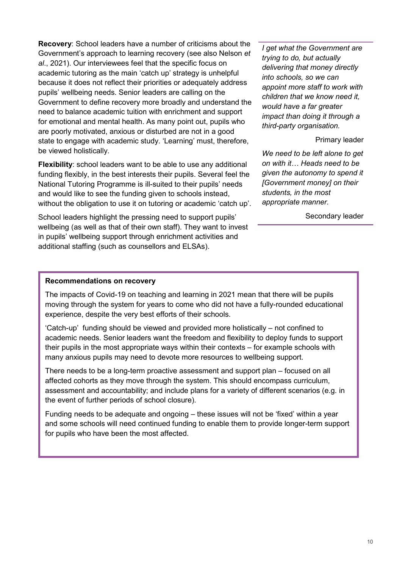**Recovery**: School leaders have a number of criticisms about the Government's approach to learning recovery (see also Nelson *et al*., 2021). Our interviewees feel that the specific focus on academic tutoring as the main 'catch up' strategy is unhelpful because it does not reflect their priorities or adequately address pupils' wellbeing needs. Senior leaders are calling on the Government to define recovery more broadly and understand the need to balance academic tuition with enrichment and support for emotional and mental health. As many point out, pupils who are poorly motivated, anxious or disturbed are not in a good state to engage with academic study. 'Learning' must, therefore, be viewed holistically.

**Flexibility**: school leaders want to be able to use any additional funding flexibly, in the best interests their pupils. Several feel the National Tutoring Programme is ill-suited to their pupils' needs and would like to see the funding given to schools instead, without the obligation to use it on tutoring or academic 'catch up'.

School leaders highlight the pressing need to support pupils' wellbeing (as well as that of their own staff). They want to invest in pupils' wellbeing support through enrichment activities and additional staffing (such as counsellors and ELSAs).

*I get what the Government are trying to do, but actually delivering that money directly into schools, so we can appoint more staff to work with children that we know need it, would have a far greater impact than doing it through a third-party organisation.*

#### Primary leader

*We need to be left alone to get on with it… Heads need to be given the autonomy to spend it [Government money] on their students, in the most appropriate manner.*

Secondary leader

#### **Recommendations on recovery**

The impacts of Covid-19 on teaching and learning in 2021 mean that there will be pupils moving through the system for years to come who did not have a fully-rounded educational experience, despite the very best efforts of their schools.

'Catch-up' funding should be viewed and provided more holistically – not confined to academic needs. Senior leaders want the freedom and flexibility to deploy funds to support their pupils in the most appropriate ways within their contexts – for example schools with many anxious pupils may need to devote more resources to wellbeing support.

There needs to be a long-term proactive assessment and support plan – focused on all affected cohorts as they move through the system. This should encompass curriculum, assessment and accountability; and include plans for a variety of different scenarios (e.g. in the event of further periods of school closure).

Funding needs to be adequate and ongoing – these issues will not be 'fixed' within a year and some schools will need continued funding to enable them to provide longer-term support for pupils who have been the most affected.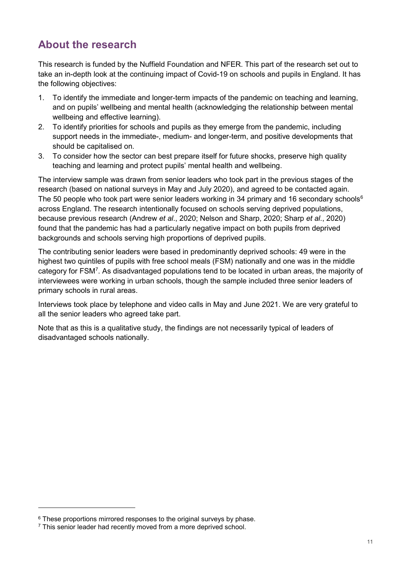# **About the research**

This research is funded by the Nuffield Foundation and NFER. This part of the research set out to take an in-depth look at the continuing impact of Covid-19 on schools and pupils in England. It has the following objectives:

- 1. To identify the immediate and longer-term impacts of the pandemic on teaching and learning, and on pupils' wellbeing and mental health (acknowledging the relationship between mental wellbeing and effective learning).
- 2. To identify priorities for schools and pupils as they emerge from the pandemic, including support needs in the immediate-, medium- and longer-term, and positive developments that should be capitalised on.
- 3. To consider how the sector can best prepare itself for future shocks, preserve high quality teaching and learning and protect pupils' mental health and wellbeing.

The interview sample was drawn from senior leaders who took part in the [previous stages](https://www.nfer.ac.uk/news-events/nfer-spotlight/schools-responses-to-covid-19/) of the research (based on national surveys in May and July 2020), and agreed to be contacted again. The 50 people who took part were senior leaders working in 34 primary and 1[6](#page-10-0) secondary schools<sup>6</sup> across England. The research intentionally focused on schools serving deprived populations, because previous research (Andrew *et al*., 2020; Nelson and Sharp, 2020; Sharp *et al*., 2020) found that the pandemic has had a particularly negative impact on both pupils from deprived backgrounds and schools serving high proportions of deprived pupils.

The contributing senior leaders were based in predominantly deprived schools: 49 were in the highest two quintiles of pupils with free school meals (FSM) nationally and one was in the middle category for FS[M7](#page-10-1) . As disadvantaged populations tend to be located in urban areas, the majority of interviewees were working in urban schools, though the sample included three senior leaders of primary schools in rural areas.

Interviews took place by telephone and video calls in May and June 2021. We are very grateful to all the senior leaders who agreed take part.

Note that as this is a qualitative study, the findings are not necessarily typical of leaders of disadvantaged schools nationally.

-

<span id="page-10-0"></span><sup>&</sup>lt;sup>6</sup> These proportions mirrored responses to the original surveys by phase.

<span id="page-10-1"></span><sup>&</sup>lt;sup>7</sup> This senior leader had recently moved from a more deprived school.